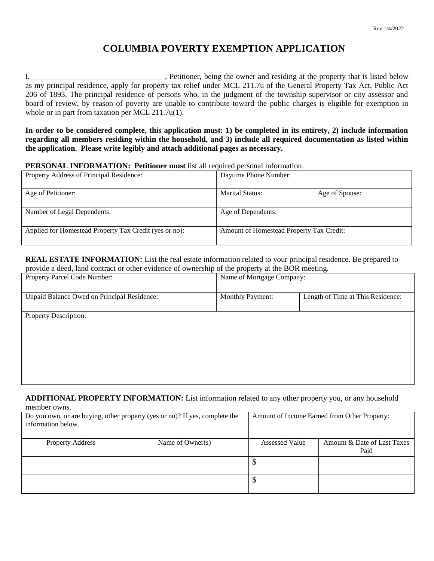# **COLUMBIA POVERTY EXEMPTION APPLICATION**

I, 1. 1. 1. The same of the owner and residing at the property that is listed below is listed below. as my principal residence, apply for property tax relief under MCL 211.7u of the General Property Tax Act, Public Act 206 of 1893. The principal residence of persons who, in the judgment of the township supervisor or city assessor and board of review, by reason of poverty are unable to contribute toward the public charges is eligible for exemption in whole or in part from taxation per MCL 211.7u(1).

**In order to be considered complete, this application must: 1) be completed in its entirety, 2) include information regarding all members residing within the household, and 3) include all required documentation as listed within the application. Please write legibly and attach additional pages as necessary.**

### **PERSONAL INFORMATION: Petitioner must** list all required personal information.

| Property Address of Principal Residence:               | Daytime Phone Number:                    |                |
|--------------------------------------------------------|------------------------------------------|----------------|
| Age of Petitioner:                                     | <b>Marital Status:</b>                   | Age of Spouse: |
| Number of Legal Dependents:                            | Age of Dependents:                       |                |
| Applied for Homestead Property Tax Credit (yes or no): | Amount of Homestead Property Tax Credit: |                |

**REAL ESTATE INFORMATION:** List the real estate information related to your principal residence. Be prepared to provide a deed, land contract or other evidence of ownership of the property at the BOR meeting.

| provide a decd, faild contract of other evidence of ownership of the property at the DOK meeting. |                           |                                   |  |
|---------------------------------------------------------------------------------------------------|---------------------------|-----------------------------------|--|
| Property Parcel Code Number:                                                                      | Name of Mortgage Company: |                                   |  |
|                                                                                                   |                           |                                   |  |
| Unpaid Balance Owed on Principal Residence:                                                       | <b>Monthly Payment:</b>   | Length of Time at This Residence: |  |
|                                                                                                   |                           |                                   |  |
| Property Description:                                                                             |                           |                                   |  |
|                                                                                                   |                           |                                   |  |
|                                                                                                   |                           |                                   |  |
|                                                                                                   |                           |                                   |  |
|                                                                                                   |                           |                                   |  |
|                                                                                                   |                           |                                   |  |
|                                                                                                   |                           |                                   |  |
|                                                                                                   |                           |                                   |  |

**ADDITIONAL PROPERTY INFORMATION:** List information related to any other property you, or any household member owns.

| Do you own, or are buying, other property (yes or no)? If yes, complete the<br>information below. |                  |                       | Amount of Income Earned from Other Property: |  |  |
|---------------------------------------------------------------------------------------------------|------------------|-----------------------|----------------------------------------------|--|--|
| <b>Property Address</b>                                                                           | Name of Owner(s) | <b>Assessed Value</b> | Amount & Date of Last Taxes                  |  |  |
|                                                                                                   |                  |                       |                                              |  |  |
|                                                                                                   |                  |                       | Paid                                         |  |  |
|                                                                                                   |                  |                       |                                              |  |  |
|                                                                                                   |                  | Φ                     |                                              |  |  |
|                                                                                                   |                  | Φ                     |                                              |  |  |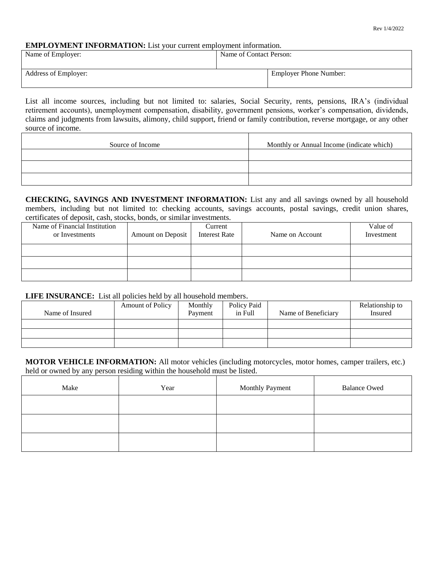#### **EMPLOYMENT INFORMATION:** List your current employment information.

| Name of Employer:    | Name of Contact Person:       |  |
|----------------------|-------------------------------|--|
| Address of Employer: | <b>Employer Phone Number:</b> |  |

List all income sources, including but not limited to: salaries, Social Security, rents, pensions, IRA's (individual retirement accounts), unemployment compensation, disability, government pensions, worker's compensation, dividends, claims and judgments from lawsuits, alimony, child support, friend or family contribution, reverse mortgage, or any other source of income.

| Source of Income | Monthly or Annual Income (indicate which) |
|------------------|-------------------------------------------|
|                  |                                           |
|                  |                                           |
|                  |                                           |

**CHECKING, SAVINGS AND INVESTMENT INFORMATION:** List any and all savings owned by all household members, including but not limited to: checking accounts, savings accounts, postal savings, credit union shares, certificates of deposit, cash, stocks, bonds, or similar investments.

| Name of Financial Institution<br>or Investments | <b>Amount on Deposit</b> | Current<br><b>Interest Rate</b> | Name on Account | Value of<br>Investment |
|-------------------------------------------------|--------------------------|---------------------------------|-----------------|------------------------|
|                                                 |                          |                                 |                 |                        |
|                                                 |                          |                                 |                 |                        |
|                                                 |                          |                                 |                 |                        |

### **LIFE INSURANCE:** List all policies held by all household members.

| Name of Insured | <b>Amount of Policy</b> | Monthly<br>Payment | Policy Paid<br>in Full | Name of Beneficiary | Relationship to<br>Insured |
|-----------------|-------------------------|--------------------|------------------------|---------------------|----------------------------|
|                 |                         |                    |                        |                     |                            |
|                 |                         |                    |                        |                     |                            |
|                 |                         |                    |                        |                     |                            |

**MOTOR VEHICLE INFORMATION:** All motor vehicles (including motorcycles, motor homes, camper trailers, etc.) held or owned by any person residing within the household must be listed.

| Make | Year | Monthly Payment | <b>Balance Owed</b> |
|------|------|-----------------|---------------------|
|      |      |                 |                     |
|      |      |                 |                     |
|      |      |                 |                     |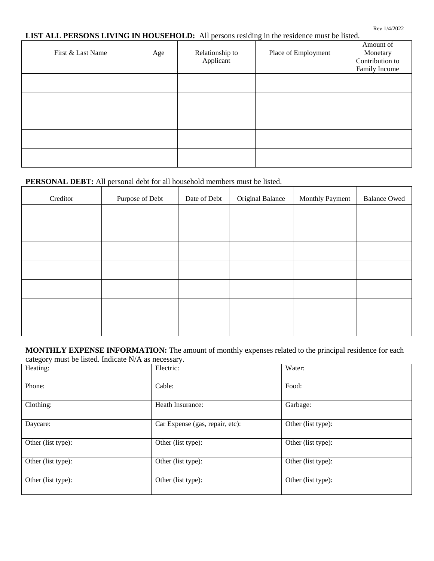## **LIST ALL PERSONS LIVING IN HOUSEHOLD:** All persons residing in the residence must be listed.

| First & Last Name | Age | Relationship to<br>Applicant | Place of Employment | Amount of<br>Monetary<br>Contribution to<br>Family Income |
|-------------------|-----|------------------------------|---------------------|-----------------------------------------------------------|
|                   |     |                              |                     |                                                           |
|                   |     |                              |                     |                                                           |
|                   |     |                              |                     |                                                           |
|                   |     |                              |                     |                                                           |
|                   |     |                              |                     |                                                           |

## **PERSONAL DEBT:** All personal debt for all household members must be listed.

| Creditor | Purpose of Debt | Date of Debt | Original Balance | Monthly Payment | <b>Balance Owed</b> |
|----------|-----------------|--------------|------------------|-----------------|---------------------|
|          |                 |              |                  |                 |                     |
|          |                 |              |                  |                 |                     |
|          |                 |              |                  |                 |                     |
|          |                 |              |                  |                 |                     |
|          |                 |              |                  |                 |                     |
|          |                 |              |                  |                 |                     |
|          |                 |              |                  |                 |                     |

#### **MONTHLY EXPENSE INFORMATION:** The amount of monthly expenses related to the principal residence for each category must be listed. Indicate N/A as necessary.

| $\mathbf{F}$ . There is the contract of $\mathbf{F}$ . The contract of $\mathbf{F}$<br>Heating: | Electric:                       | Water:             |
|-------------------------------------------------------------------------------------------------|---------------------------------|--------------------|
|                                                                                                 |                                 |                    |
| Phone:                                                                                          | Cable:                          | Food:              |
| Clothing:                                                                                       | Heath Insurance:                | Garbage:           |
| Daycare:                                                                                        | Car Expense (gas, repair, etc): | Other (list type): |
| Other (list type):                                                                              | Other (list type):              | Other (list type): |
| Other (list type):                                                                              | Other (list type):              | Other (list type): |
| Other (list type):                                                                              | Other (list type):              | Other (list type): |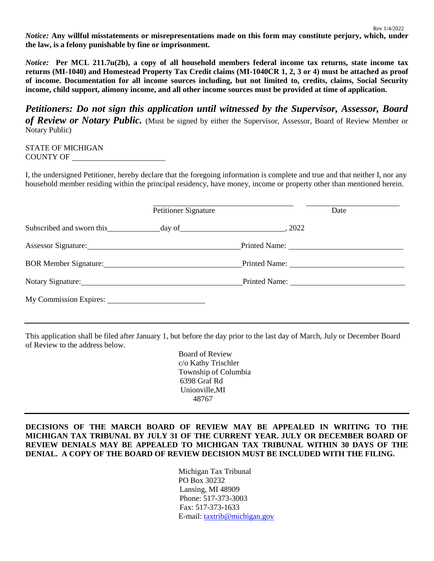*Notice:* **Any willful misstatements or misrepresentations made on this form may constitute perjury, which, under the law, is a felony punishable by fine or imprisonment.**

Rev 1/4/2022

*Notice:* Per MCL 211.7u(2b), a copy of all household members federal income tax returns, state income tax **returns (MI-1040) and Homestead Property Tax Credit claims (MI-1040CR 1, 2, 3 or 4) must be attached as proof of income. Documentation for all income sources including, but not limited to, credits, claims, Social Security income, child support, alimony income, and all other income sources must be provided at time of application.**

*Petitioners: Do not sign this application until witnessed by the Supervisor, Assessor, Board of Review or Notary Public.* (Must be signed by either the Supervisor, Assessor, Board of Review Member or Notary Public)

STATE OF MICHIGAN COUNTY OF

I, the undersigned Petitioner, hereby declare that the foregoing information is complete and true and that neither I, nor any household member residing within the principal residency, have money, income or property other than mentioned herein.

|                                                                                                                                                                                                                                | <b>Petitioner Signature</b> | Date |
|--------------------------------------------------------------------------------------------------------------------------------------------------------------------------------------------------------------------------------|-----------------------------|------|
| Subscribed and sworn this day of 2022                                                                                                                                                                                          |                             |      |
| Assessor Signature: 1986 and 1987 and 1988 and 1988 and 1988 and 1988 and 1988 and 1988 and 1988 and 1988 and 1988 and 1988 and 1988 and 1988 and 1988 and 1988 and 1988 and 1988 and 1988 and 1988 and 1988 and 1988 and 1988 |                             |      |
| BOR Member Signature:                                                                                                                                                                                                          |                             |      |
| Notary Signature: Notary Signature:                                                                                                                                                                                            |                             |      |
| My Commission Expires:                                                                                                                                                                                                         |                             |      |

This application shall be filed after January 1, but before the day prior to the last day of March, July or December Board of Review to the address below.

> Board of Review c/o Kathy Trischler Township of Columbia 6398 Graf Rd Unionville,MI 48767

## **DECISIONS OF THE MARCH BOARD OF REVIEW MAY BE APPEALED IN WRITING TO THE MICHIGAN TAX TRIBUNAL BY JULY 31 OF THE CURRENT YEAR. JULY OR DECEMBER BOARD OF REVIEW DENIALS MAY BE APPEALED TO MICHIGAN TAX TRIBUNAL WITHIN 30 DAYS OF THE DENIAL. A COPY OF THE BOARD OF REVIEW DECISION MUST BE INCLUDED WITH THE FILING.**

Michigan Tax Tribunal PO Box 30232 Lansing, MI 48909 Phone: 517-373-3003 Fax: 517-373-1633 E-mail: [taxtrib@michigan.gov](mailto:taxtrib@michigan.gov)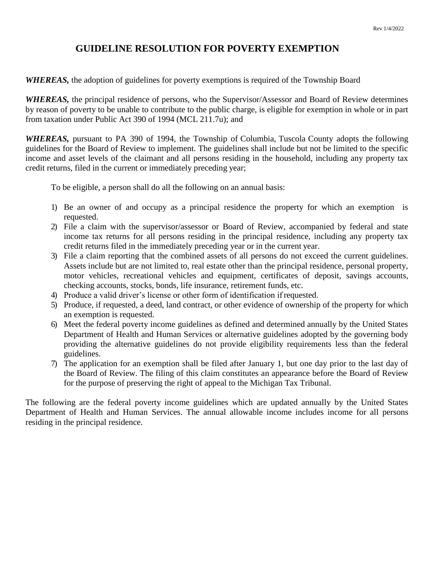## **GUIDELINE RESOLUTION FOR POVERTY EXEMPTION**

*WHEREAS,* the adoption of guidelines for poverty exemptions is required of the Township Board

*WHEREAS,* the principal residence of persons, who the Supervisor/Assessor and Board of Review determines by reason of poverty to be unable to contribute to the public charge, is eligible for exemption in whole or in part from taxation under Public Act 390 of 1994 (MCL 211.7u); and

*WHEREAS,* pursuant to PA 390 of 1994, the Township of Columbia, Tuscola County adopts the following guidelines for the Board of Review to implement. The guidelines shall include but not be limited to the specific income and asset levels of the claimant and all persons residing in the household, including any property tax credit returns, filed in the current or immediately preceding year;

To be eligible, a person shall do all the following on an annual basis:

- 1) Be an owner of and occupy as a principal residence the property for which an exemption is requested.
- 2) File a claim with the supervisor/assessor or Board of Review, accompanied by federal and state income tax returns for all persons residing in the principal residence, including any property tax credit returns filed in the immediately preceding year or in the current year.
- 3) File a claim reporting that the combined assets of all persons do not exceed the current guidelines. Assets include but are not limited to, real estate other than the principal residence, personal property, motor vehicles, recreational vehicles and equipment, certificates of deposit, savings accounts, checking accounts, stocks, bonds, life insurance, retirement funds, etc.
- 4) Produce a valid driver's license or other form of identification if requested.
- 5) Produce, if requested, a deed, land contract, or other evidence of ownership of the property for which an exemption is requested.
- 6) Meet the federal poverty income guidelines as defined and determined annually by the United States Department of Health and Human Services or alternative guidelines adopted by the governing body providing the alternative guidelines do not provide eligibility requirements less than the federal guidelines.
- 7) The application for an exemption shall be filed after January 1, but one day prior to the last day of the Board of Review. The filing of this claim constitutes an appearance before the Board of Review for the purpose of preserving the right of appeal to the Michigan Tax Tribunal.

The following are the federal poverty income guidelines which are updated annually by the United States Department of Health and Human Services. The annual allowable income includes income for all persons residing in the principal residence.